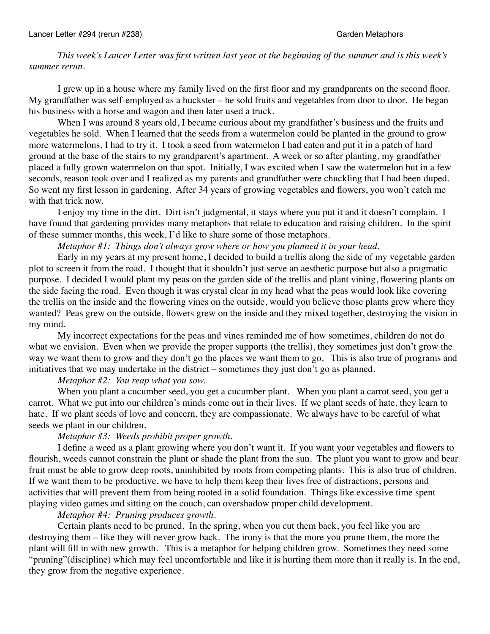*This week's Lancer Letter was first written last year at the beginning of the summer and is this week's summer rerun.*

I grew up in a house where my family lived on the first floor and my grandparents on the second floor. My grandfather was self-employed as a huckster – he sold fruits and vegetables from door to door. He began his business with a horse and wagon and then later used a truck.

When I was around 8 years old, I became curious about my grandfather's business and the fruits and vegetables he sold. When I learned that the seeds from a watermelon could be planted in the ground to grow more watermelons, I had to try it. I took a seed from watermelon I had eaten and put it in a patch of hard ground at the base of the stairs to my grandparent's apartment. A week or so after planting, my grandfather placed a fully grown watermelon on that spot. Initially, I was excited when I saw the watermelon but in a few seconds, reason took over and I realized as my parents and grandfather were chuckling that I had been duped. So went my first lesson in gardening. After 34 years of growing vegetables and flowers, you won't catch me with that trick now.

I enjoy my time in the dirt. Dirt isn't judgmental, it stays where you put it and it doesn't complain. I have found that gardening provides many metaphors that relate to education and raising children. In the spirit of these summer months, this week, I'd like to share some of those metaphors.

*Metaphor #1: Things don't always grow where or how you planned it in your head.*

Early in my years at my present home, I decided to build a trellis along the side of my vegetable garden plot to screen it from the road. I thought that it shouldn't just serve an aesthetic purpose but also a pragmatic purpose. I decided I would plant my peas on the garden side of the trellis and plant vining, flowering plants on the side facing the road. Even though it was crystal clear in my head what the peas would look like covering the trellis on the inside and the flowering vines on the outside, would you believe those plants grew where they wanted? Peas grew on the outside, flowers grew on the inside and they mixed together, destroying the vision in my mind.

My incorrect expectations for the peas and vines reminded me of how sometimes, children do not do what we envision. Even when we provide the proper supports (the trellis), they sometimes just don't grow the way we want them to grow and they don't go the places we want them to go. This is also true of programs and initiatives that we may undertake in the district – sometimes they just don't go as planned.

## *Metaphor #2: You reap what you sow.*

When you plant a cucumber seed, you get a cucumber plant. When you plant a carrot seed, you get a carrot. What we put into our children's minds come out in their lives. If we plant seeds of hate, they learn to hate. If we plant seeds of love and concern, they are compassionate. We always have to be careful of what seeds we plant in our children.

### *Metaphor #3: Weeds prohibit proper growth.*

I define a weed as a plant growing where you don't want it. If you want your vegetables and flowers to flourish, weeds cannot constrain the plant or shade the plant from the sun. The plant you want to grow and bear fruit must be able to grow deep roots, uninhibited by roots from competing plants. This is also true of children. If we want them to be productive, we have to help them keep their lives free of distractions, persons and activities that will prevent them from being rooted in a solid foundation. Things like excessive time spent playing video games and sitting on the couch, can overshadow proper child development.

### *Metaphor #4: Pruning produces growth.*

Certain plants need to be pruned. In the spring, when you cut them back, you feel like you are destroying them – like they will never grow back. The irony is that the more you prune them, the more the plant will fill in with new growth. This is a metaphor for helping children grow. Sometimes they need some "pruning"(discipline) which may feel uncomfortable and like it is hurting them more than it really is. In the end, they grow from the negative experience.